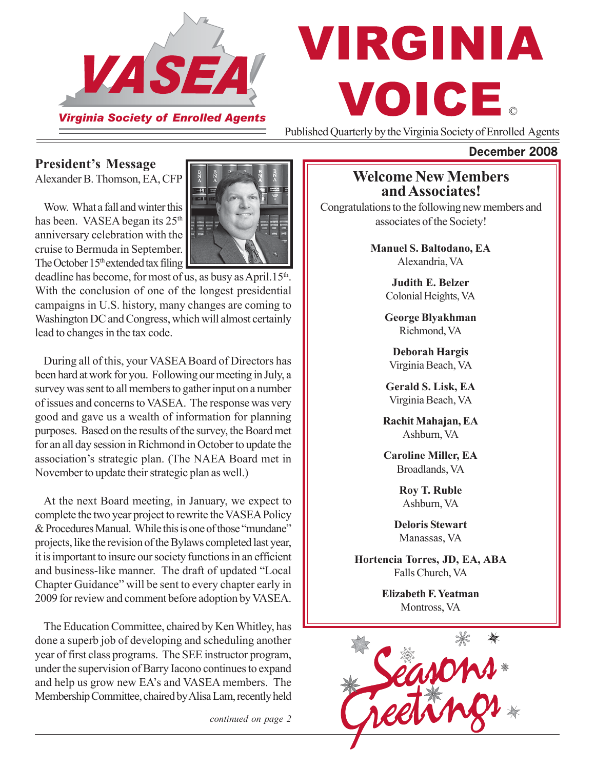

# VIRGINIA VOICE.

Published Quarterly by the Virginia Society of Enrolled Agents

#### **President's Message**

Alexander B. Thomson, EA, CFP

Wow. What a fall and winter this has been. VASEA began its 25<sup>th</sup> anniversary celebration with the cruise to Bermuda in September. The October  $15<sup>th</sup>$  extended tax filing



deadline has become, for most of us, as busy as April.15<sup>th</sup>. With the conclusion of one of the longest presidential campaigns in U.S. history, many changes are coming to Washington DC and Congress, which will almost certainly lead to changes in the tax code.

During all of this, your VASEA Board of Directors has been hard at work for you. Following our meeting in July, a survey was sent to all members to gather input on a number of issues and concerns to VASEA. The response was very good and gave us a wealth of information for planning purposes. Based on the results of the survey, the Board met for an all day session in Richmond in October to update the association's strategic plan. (The NAEA Board met in November to update their strategic plan as well.)

At the next Board meeting, in January, we expect to complete the two year project to rewrite the VASEA Policy & Procedures Manual. While this is one of those "mundane" projects, like the revision of the Bylaws completed last year, it is important to insure our society functions in an efficient and business-like manner. The draft of updated "Local Chapter Guidance" will be sent to every chapter early in 2009 for review and comment before adoption by VASEA.

The Education Committee, chaired by Ken Whitley, has done a superb job of developing and scheduling another year of first class programs. The SEE instructor program, under the supervision of Barry Iacono continues to expand and help us grow new EA's and VASEA members. The Membership Committee, chaired by Alisa Lam, recently held

*continued on page 2*

#### **Welcome New Members and Associates!**

Congratulations to the following new members and associates of the Society!

> **Manuel S. Baltodano, EA** Alexandria, VA

> > **Judith E. Belzer** Colonial Heights, VA

> > **George Blyakhman** Richmond, VA

**Deborah Hargis** Virginia Beach, VA

**Gerald S. Lisk, EA** Virginia Beach, VA

**Rachit Mahajan, EA** Ashburn, VA

**Caroline Miller, EA** Broadlands, VA

> **Roy T. Ruble** Ashburn, VA

**Deloris Stewart** Manassas, VA

**Hortencia Torres, JD, EA, ABA** Falls Church, VA

> **Elizabeth F. Yeatman** Montross, VA



#### **December 2008**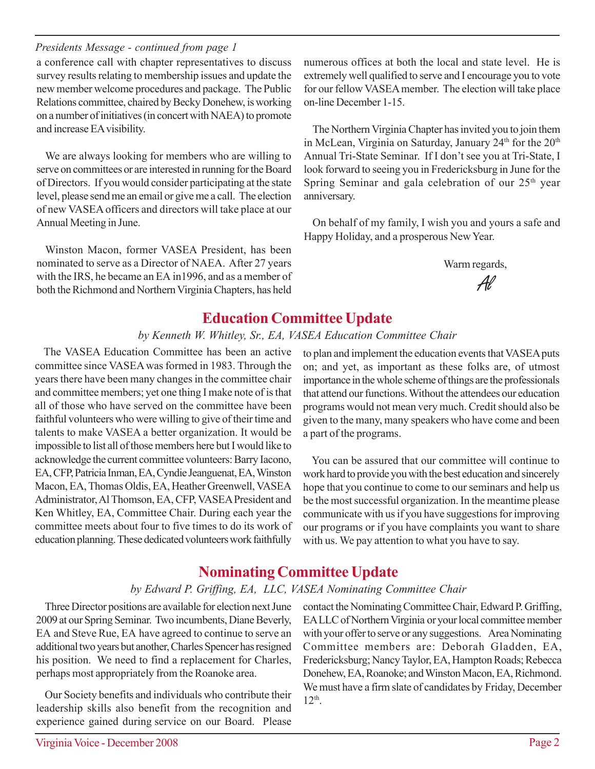## Virginia Voice - December 2008 Page 2

*Presidents Message - continued from page 1*

a conference call with chapter representatives to discuss survey results relating to membership issues and update the new member welcome procedures and package. The Public Relations committee, chaired by Becky Donehew, is working on a number of initiatives (in concert with NAEA) to promote and increase EA visibility.

We are always looking for members who are willing to serve on committees or are interested in running for the Board of Directors. If you would consider participating at the state level, please send me an email or give me a call. The election of new VASEA officers and directors will take place at our Annual Meeting in June.

Winston Macon, former VASEA President, has been nominated to serve as a Director of NAEA. After 27 years with the IRS, he became an EA in1996, and as a member of both the Richmond and Northern Virginia Chapters, has held

numerous offices at both the local and state level. He is extremely well qualified to serve and I encourage you to vote for our fellow VASEA member. The election will take place on-line December 1-15.

The Northern Virginia Chapter has invited you to join them in McLean, Virginia on Saturday, January  $24<sup>th</sup>$  for the  $20<sup>th</sup>$ Annual Tri-State Seminar. If I don't see you at Tri-State, I look forward to seeing you in Fredericksburg in June for the Spring Seminar and gala celebration of our  $25<sup>th</sup>$  year anniversary.

On behalf of my family, I wish you and yours a safe and Happy Holiday, and a prosperous New Year.

Warm regards,

Al

### **Education Committee Update**

#### *by Kenneth W. Whitley, Sr., EA, VASEA Education Committee Chair*

The VASEA Education Committee has been an active committee since VASEA was formed in 1983. Through the years there have been many changes in the committee chair and committee members; yet one thing I make note of is that all of those who have served on the committee have been faithful volunteers who were willing to give of their time and talents to make VASEA a better organization. It would be impossible to list all of those members here but I would like to acknowledge the current committee volunteers: Barry Iacono, EA, CFP, Patricia Inman, EA, Cyndie Jeanguenat, EA, Winston Macon, EA, Thomas Oldis, EA, Heather Greenwell, VASEA Administrator, Al Thomson, EA, CFP, VASEA President and Ken Whitley, EA, Committee Chair. During each year the committee meets about four to five times to do its work of education planning. These dedicated volunteers work faithfully

to plan and implement the education events that VASEA puts on; and yet, as important as these folks are, of utmost importance in the whole scheme of things are the professionals that attend our functions. Without the attendees our education programs would not mean very much. Credit should also be given to the many, many speakers who have come and been a part of the programs.

You can be assured that our committee will continue to work hard to provide you with the best education and sincerely hope that you continue to come to our seminars and help us be the most successful organization. In the meantime please communicate with us if you have suggestions for improving our programs or if you have complaints you want to share with us. We pay attention to what you have to say.

## **Nominating Committee Update**

#### *by Edward P. Griffing, EA, LLC, VASEA Nominating Committee Chair*

Three Director positions are available for election next June 2009 at our Spring Seminar. Two incumbents, Diane Beverly, EA and Steve Rue, EA have agreed to continue to serve an additional two years but another, Charles Spencer has resigned his position. We need to find a replacement for Charles, perhaps most appropriately from the Roanoke area.

Our Society benefits and individuals who contribute their leadership skills also benefit from the recognition and experience gained during service on our Board. Please

contact the Nominating Committee Chair, Edward P. Griffing, EA LLC of Northern Virginia or your local committee member with your offer to serve or any suggestions. Area Nominating Committee members are: Deborah Gladden, EA, Fredericksburg; Nancy Taylor, EA, Hampton Roads; Rebecca Donehew, EA, Roanoke; and Winston Macon, EA, Richmond. We must have a firm slate of candidates by Friday, December  $12<sup>th</sup>$ .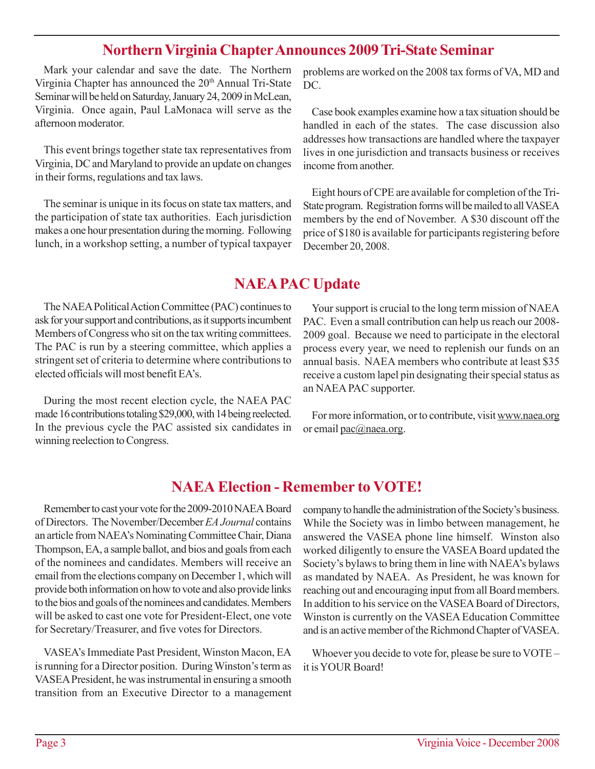## **Northern Virginia Chapter Announces 2009 Tri-State Seminar**

Mark your calendar and save the date. The Northern Virginia Chapter has announced the 20<sup>th</sup> Annual Tri-State Seminar will be held on Saturday, January 24, 2009 in McLean, Virginia. Once again, Paul LaMonaca will serve as the afternoon moderator.

This event brings together state tax representatives from Virginia, DC and Maryland to provide an update on changes in their forms, regulations and tax laws.

The seminar is unique in its focus on state tax matters, and the participation of state tax authorities. Each jurisdiction makes a one hour presentation during the morning. Following lunch, in a workshop setting, a number of typical taxpayer

problems are worked on the 2008 tax forms of VA, MD and DC.

Case book examples examine how a tax situation should be handled in each of the states. The case discussion also addresses how transactions are handled where the taxpayer lives in one jurisdiction and transacts business or receives income from another.

Eight hours of CPE are available for completion of the Tri-State program. Registration forms will be mailed to all VASEA members by the end of November. A \$30 discount off the price of \$180 is available for participants registering before December 20, 2008.

## **NAEA PAC Update**

The NAEA Political Action Committee (PAC) continues to ask for your support and contributions, as it supports incumbent Members of Congress who sit on the tax writing committees. The PAC is run by a steering committee, which applies a stringent set of criteria to determine where contributions to elected officials will most benefit EA's.

During the most recent election cycle, the NAEA PAC made 16 contributions totaling \$29,000, with 14 being reelected. In the previous cycle the PAC assisted six candidates in winning reelection to Congress.

Your support is crucial to the long term mission of NAEA PAC. Even a small contribution can help us reach our 2008- 2009 goal. Because we need to participate in the electoral process every year, we need to replenish our funds on an annual basis. NAEA members who contribute at least \$35 receive a custom lapel pin designating their special status as an NAEA PAC supporter.

For more information, or to contribute, visit www.naea.org or email pac@naea.org.

## **NAEA Election - Remember to VOTE!**

Remember to cast your vote for the 2009-2010 NAEA Board of Directors. The November/December *EA Journal* contains an article from NAEA's Nominating Committee Chair, Diana Thompson, EA, a sample ballot, and bios and goals from each of the nominees and candidates. Members will receive an email from the elections company on December 1, which will provide both information on how to vote and also provide links to the bios and goals of the nominees and candidates. Members will be asked to cast one vote for President-Elect, one vote for Secretary/Treasurer, and five votes for Directors.

VASEA's Immediate Past President, Winston Macon, EA is running for a Director position. During Winston's term as VASEA President, he was instrumental in ensuring a smooth transition from an Executive Director to a management

company to handle the administration of the Society's business. While the Society was in limbo between management, he answered the VASEA phone line himself. Winston also worked diligently to ensure the VASEA Board updated the Society's bylaws to bring them in line with NAEA's bylaws as mandated by NAEA. As President, he was known for reaching out and encouraging input from all Board members. In addition to his service on the VASEA Board of Directors, Winston is currently on the VASEA Education Committee and is an active member of the Richmond Chapter of VASEA.

Whoever you decide to vote for, please be sure to VOTE – it is YOUR Board!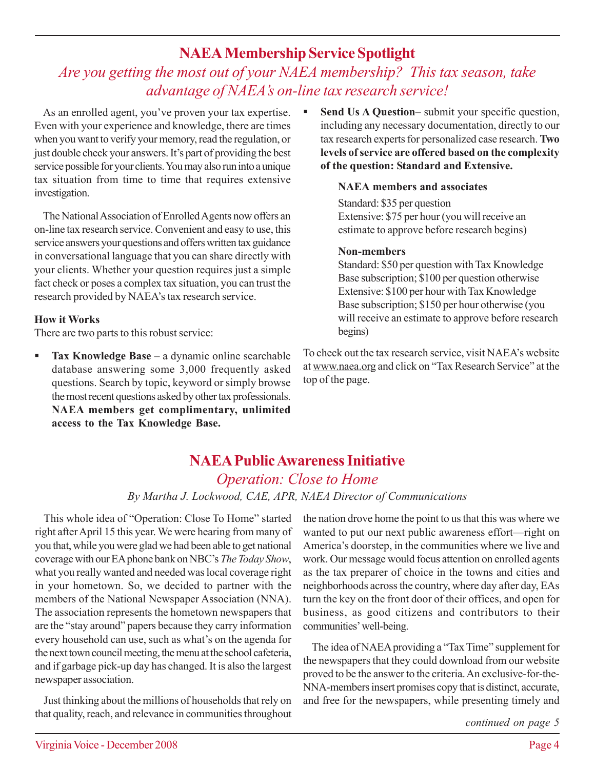## **NAEA Membership Service Spotlight**

## *Are you getting the most out of your NAEA membership? This tax season, take advantage of NAEA's on-line tax research service!*

As an enrolled agent, you've proven your tax expertise. Even with your experience and knowledge, there are times when you want to verify your memory, read the regulation, or just double check your answers. It's part of providing the best service possible for your clients. You may also run into a unique tax situation from time to time that requires extensive investigation.

The National Association of Enrolled Agents now offers an on-line tax research service. Convenient and easy to use, this service answers your questions and offers written tax guidance in conversational language that you can share directly with your clients. Whether your question requires just a simple fact check or poses a complex tax situation, you can trust the research provided by NAEA's tax research service.

#### **How it Works**

There are two parts to this robust service:

**Tax Knowledge Base** – a dynamic online searchable database answering some 3,000 frequently asked questions. Search by topic, keyword or simply browse the most recent questions asked by other tax professionals. **NAEA members get complimentary, unlimited access to the Tax Knowledge Base.**

 **Send Us A Question**– submit your specific question, including any necessary documentation, directly to our tax research experts for personalized case research. **Two levels of service are offered based on the complexity of the question: Standard and Extensive.**

#### **NAEA members and associates**

Standard: \$35 per question Extensive: \$75 per hour (you will receive an estimate to approve before research begins)

#### **Non-members**

Standard: \$50 per question with Tax Knowledge Base subscription; \$100 per question otherwise Extensive: \$100 per hour with Tax Knowledge Base subscription; \$150 per hour otherwise (you will receive an estimate to approve before research begins)

To check out the tax research service, visit NAEA's website at www.naea.org and click on "Tax Research Service" at the top of the page.

## **NAEA Public Awareness Initiative**

*Operation: Close to Home By Martha J. Lockwood, CAE, APR, NAEA Director of Communications*

This whole idea of "Operation: Close To Home" started right after April 15 this year. We were hearing from many of you that, while you were glad we had been able to get national coverage with our EA phone bank on NBC's *The Today Show*, what you really wanted and needed was local coverage right in your hometown. So, we decided to partner with the members of the National Newspaper Association (NNA). The association represents the hometown newspapers that are the "stay around" papers because they carry information every household can use, such as what's on the agenda for the next town council meeting, the menu at the school cafeteria, and if garbage pick-up day has changed. It is also the largest newspaper association.

Just thinking about the millions of households that rely on that quality, reach, and relevance in communities throughout the nation drove home the point to us that this was where we wanted to put our next public awareness effort—right on America's doorstep, in the communities where we live and work. Our message would focus attention on enrolled agents as the tax preparer of choice in the towns and cities and neighborhoods across the country, where day after day, EAs turn the key on the front door of their offices, and open for business, as good citizens and contributors to their communities' well-being.

The idea of NAEA providing a "Tax Time" supplement for the newspapers that they could download from our website proved to be the answer to the criteria. An exclusive-for-the-NNA-members insert promises copy that is distinct, accurate, and free for the newspapers, while presenting timely and

*continued on page 5*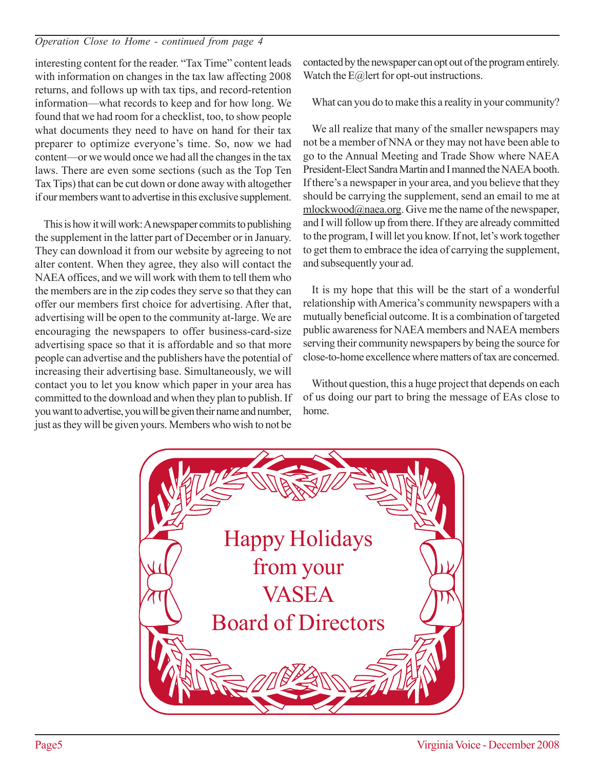#### *Operation Close to Home - continued from page 4*

interesting content for the reader. "Tax Time" content leads with information on changes in the tax law affecting 2008 returns, and follows up with tax tips, and record-retention information—what records to keep and for how long. We found that we had room for a checklist, too, to show people what documents they need to have on hand for their tax preparer to optimize everyone's time. So, now we had content—or we would once we had all the changes in the tax laws. There are even some sections (such as the Top Ten Tax Tips) that can be cut down or done away with altogether if our members want to advertise in this exclusive supplement.

This is how it will work: A newspaper commits to publishing the supplement in the latter part of December or in January. They can download it from our website by agreeing to not alter content. When they agree, they also will contact the NAEA offices, and we will work with them to tell them who the members are in the zip codes they serve so that they can offer our members first choice for advertising. After that, advertising will be open to the community at-large. We are encouraging the newspapers to offer business-card-size advertising space so that it is affordable and so that more people can advertise and the publishers have the potential of increasing their advertising base. Simultaneously, we will contact you to let you know which paper in your area has committed to the download and when they plan to publish. If you want to advertise, you will be given their name and number, just as they will be given yours. Members who wish to not be

contacted by the newspaper can opt out of the program entirely. Watch the E@lert for opt-out instructions.

What can you do to make this a reality in your community?

We all realize that many of the smaller newspapers may not be a member of NNA or they may not have been able to go to the Annual Meeting and Trade Show where NAEA President-Elect Sandra Martin and I manned the NAEA booth. If there's a newspaper in your area, and you believe that they should be carrying the supplement, send an email to me at mlockwood@naea.org. Give me the name of the newspaper, and I will follow up from there. If they are already committed to the program, I will let you know. If not, let's work together to get them to embrace the idea of carrying the supplement, and subsequently your ad.

It is my hope that this will be the start of a wonderful relationship with America's community newspapers with a mutually beneficial outcome. It is a combination of targeted public awareness for NAEA members and NAEA members serving their community newspapers by being the source for close-to-home excellence where matters of tax are concerned.

Without question, this a huge project that depends on each of us doing our part to bring the message of EAs close to home.

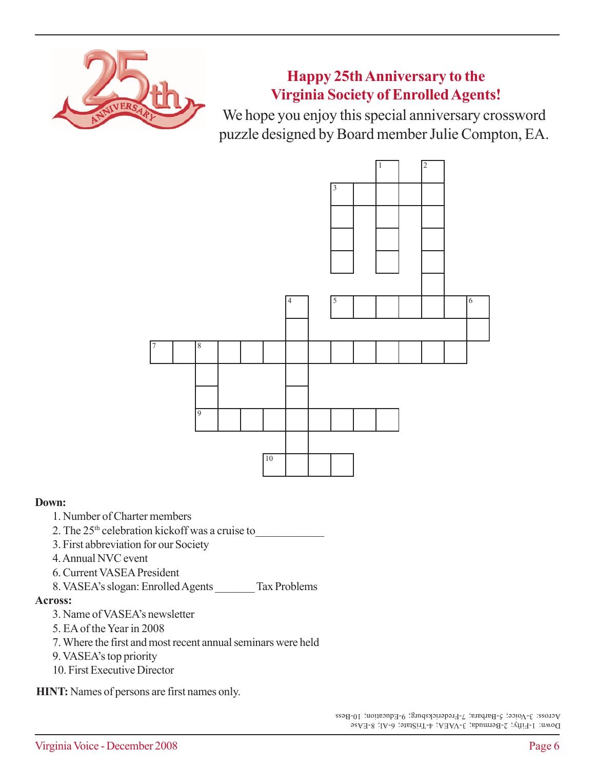

**Happy 25th Anniversary to the Virginia Society of Enrolled Agents!**

We hope you enjoy this special anniversary crossword puzzle designed by Board member Julie Compton, EA.



#### **Down:**

- 1. Number of Charter members
- 2. The 25<sup>th</sup> celebration kickoff was a cruise to
- 3. First abbreviation for our Society
- 4. Annual NVC event
- 6. Current VASEA President
- 8. VASEA's slogan: Enrolled Agents \_\_\_\_\_\_\_ Tax Problems

#### **Across:**

- 3. Name of VASEA's newsletter
- 5. EA of the Year in 2008
- 7. Where the first and most recent annual seminars were held
- 9. VASEA's top priority
- 10. First Executive Director

**HINT:** Names of persons are first names only.

Down: 1-Fifty; 2-Bermuda; 3-VAEA; 4-TriState; 6-Al; 8-EAse Across: 3-Voice; 5-Barbara; 7-Fredericksburg; 9-Education; 10-Bess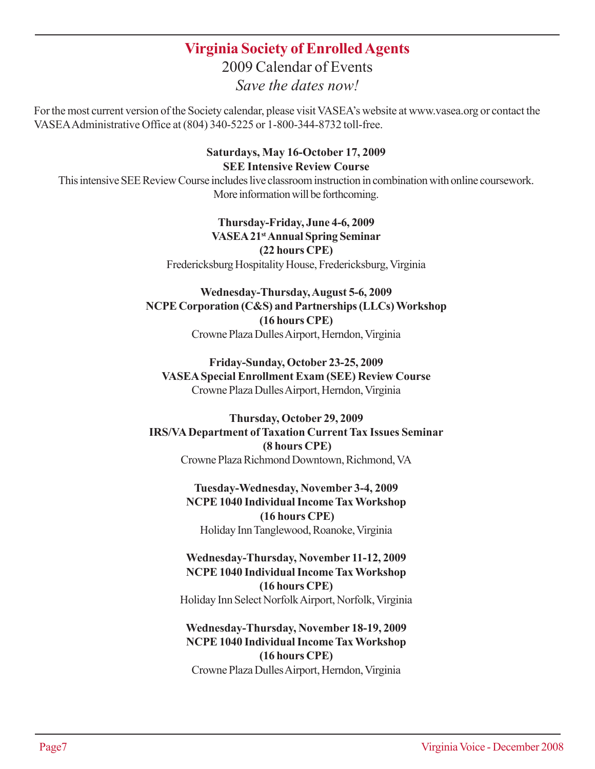## **Virginia Society of Enrolled Agents**

2009 Calendar of Events *Save the dates now!*

For the most current version of the Society calendar, please visit VASEA's website at www.vasea.org or contact the VASEA Administrative Office at (804) 340-5225 or 1-800-344-8732 toll-free.

#### **Saturdays, May 16-October 17, 2009 SEE Intensive Review Course**

This intensive SEE Review Course includes live classroom instruction in combination with online coursework. More information will be forthcoming.

#### **Thursday-Friday, June 4-6, 2009 VASEA 21st Annual Spring Seminar (22 hours CPE)** Fredericksburg Hospitality House, Fredericksburg, Virginia

#### **Wednesday-Thursday, August 5-6, 2009 NCPE Corporation (C&S) and Partnerships (LLCs) Workshop (16 hours CPE)** Crowne Plaza Dulles Airport, Herndon, Virginia

#### **Friday-Sunday, October 23-25, 2009 VASEA Special Enrollment Exam (SEE) Review Course** Crowne Plaza Dulles Airport, Herndon, Virginia

#### **Thursday, October 29, 2009 IRS/VA Department of Taxation Current Tax Issues Seminar (8 hours CPE)** Crowne Plaza Richmond Downtown, Richmond, VA

**Tuesday-Wednesday, November 3-4, 2009 NCPE 1040 Individual Income Tax Workshop (16 hours CPE)** Holiday Inn Tanglewood, Roanoke, Virginia

#### **Wednesday-Thursday, November 11-12, 2009 NCPE 1040 Individual Income Tax Workshop (16 hours CPE)** Holiday Inn Select Norfolk Airport, Norfolk, Virginia

#### **Wednesday-Thursday, November 18-19, 2009 NCPE 1040 Individual Income Tax Workshop (16 hours CPE)** Crowne Plaza Dulles Airport, Herndon, Virginia